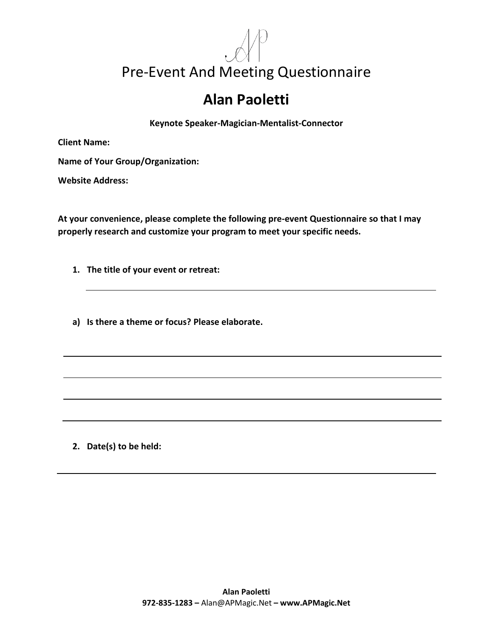## Pre-Event And Meeting Questionnaire

## **Alan Paoletti**

**Keynote Speaker-Magician-Mentalist-Connector**

**Client Name:**

**Name of Your Group/Organization:**

**Website Address:**

**At your convenience, please complete the following pre-event Questionnaire so that I may properly research and customize your program to meet your specific needs.**

**1. The title of your event or retreat:**

**a) Is there a theme or focus? Please elaborate.**

**2. Date(s) to be held:**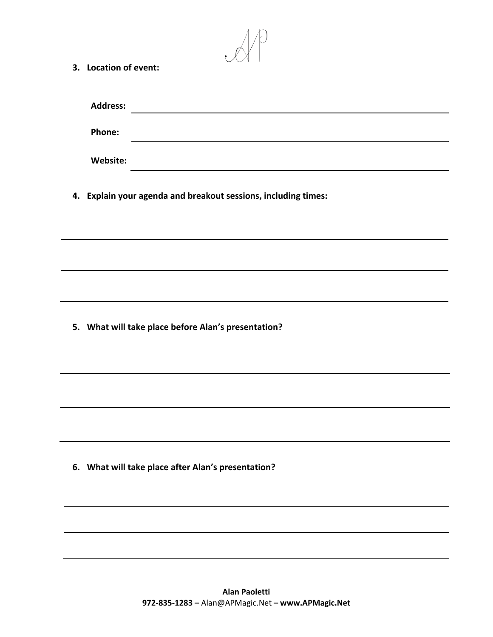| 3. Location of event:                               |                                                                                                                      |  |
|-----------------------------------------------------|----------------------------------------------------------------------------------------------------------------------|--|
|                                                     |                                                                                                                      |  |
| <b>Address:</b>                                     | <u> 1980 - Johann Barn, mars ann an t-Amhain Aonaich an t-Aonaich an t-Aonaich ann an t-Aonaich ann an t-Aonaich</u> |  |
| Phone:                                              |                                                                                                                      |  |
| Website:                                            |                                                                                                                      |  |
|                                                     | 4. Explain your agenda and breakout sessions, including times:                                                       |  |
|                                                     |                                                                                                                      |  |
|                                                     |                                                                                                                      |  |
|                                                     |                                                                                                                      |  |
| 5. What will take place before Alan's presentation? |                                                                                                                      |  |
|                                                     |                                                                                                                      |  |
|                                                     |                                                                                                                      |  |
|                                                     |                                                                                                                      |  |
| 6. What will take place after Alan's presentation?  |                                                                                                                      |  |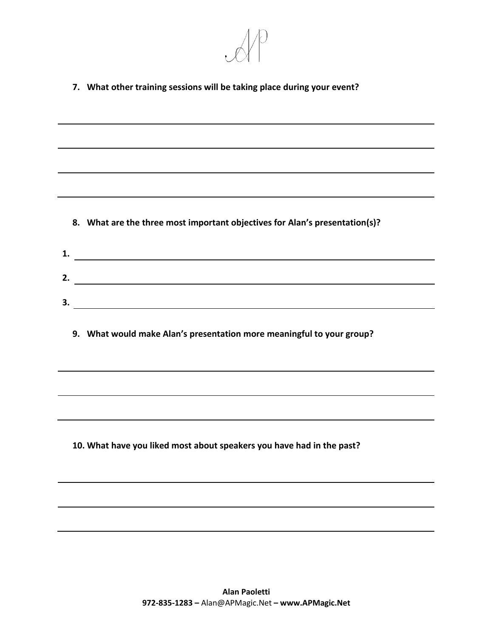

**7. What other training sessions will be taking place during your event?**

**8. What are the three most important objectives for Alan's presentation(s)?**

| л.  |  |
|-----|--|
|     |  |
|     |  |
| ، ب |  |

**9. What would make Alan's presentation more meaningful to your group?**

**10. What have you liked most about speakers you have had in the past?**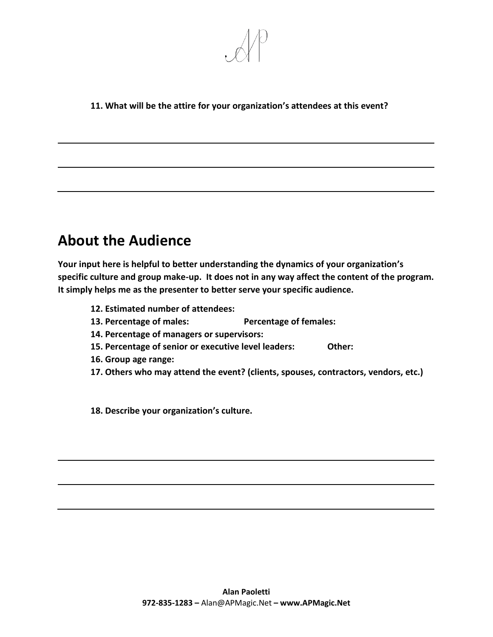

## **11. What will be the attire for your organization's attendees at this event?**

## **About the Audience**

**Your input here is helpful to better understanding the dynamics of your organization's specific culture and group make-up. It does not in any way affect the content of the program. It simply helps me as the presenter to better serve your specific audience.**

- **12. Estimated number of attendees:**
- **13. Percentage of males: Percentage of females:**
- **14. Percentage of managers or supervisors:**
- **15. Percentage of senior or executive level leaders: Other:**
- **16. Group age range:**
- **17. Others who may attend the event? (clients, spouses, contractors, vendors, etc.)**

**18. Describe your organization's culture.**